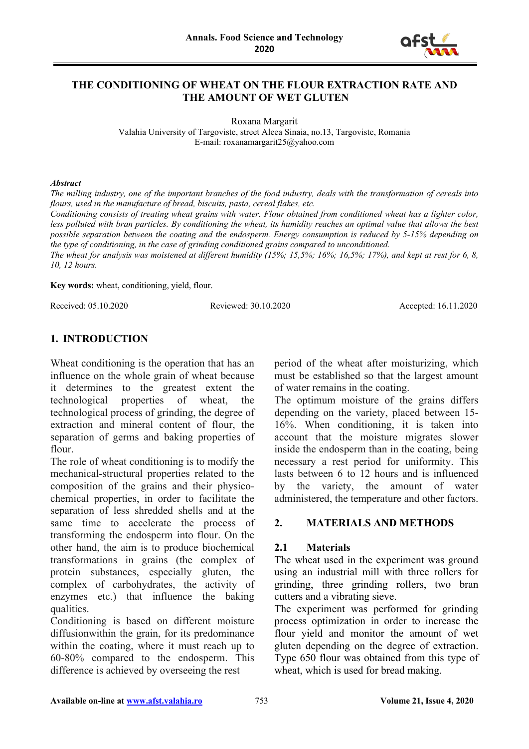

### **THE CONDITIONING OF WHEAT ON THE FLOUR EXTRACTION RATE AND THE AMOUNT OF WET GLUTEN**

Roxana Margarit Valahia University of Targoviste, street Aleea Sinaia, no.13, Targoviste, Romania E-mail: roxanamargarit25@yahoo.com

#### *Abstract*

*The milling industry, one of the important branches of the food industry, deals with the transformation of cereals into flours, used in the manufacture of bread, biscuits, pasta, cereal flakes, etc.*

*Conditioning consists of treating wheat grains with water. Flour obtained from conditioned wheat has a lighter color, less polluted with bran particles. By conditioning the wheat, its humidity reaches an optimal value that allows the best possible separation between the coating and the endosperm. Energy consumption is reduced by 5-15% depending on the type of conditioning, in the case of grinding conditioned grains compared to unconditioned.*

*The wheat for analysis was moistened at different humidity (15%; 15,5%; 16%; 16,5%; 17%), and kept at rest for 6, 8, 10, 12 hours.*

**Key words:** wheat, conditioning, yield, flour.

Received: 05.10.2020 Reviewed: 30.10.2020 Accepted: 16.11.2020

# **1. INTRODUCTION**

Wheat conditioning is the operation that has an influence on the whole grain of wheat because it determines to the greatest extent the technological properties of wheat, the technological process of grinding, the degree of extraction and mineral content of flour, the separation of germs and baking properties of flour.

The role of wheat conditioning is to modify the mechanical-structural properties related to the composition of the grains and their physicochemical properties, in order to facilitate the separation of less shredded shells and at the same time to accelerate the process of transforming the endosperm into flour. On the other hand, the aim is to produce biochemical transformations in grains (the complex of protein substances, especially gluten, the complex of carbohydrates, the activity of enzymes etc.) that influence the baking qualities.

Conditioning is based on different moisture diffusionwithin the grain, for its predominance within the coating, where it must reach up to 60-80% compared to the endosperm. This difference is achieved by overseeing the rest

period of the wheat after moisturizing, which must be established so that the largest amount of water remains in the coating.

The optimum moisture of the grains differs depending on the variety, placed between 15- 16%. When conditioning, it is taken into account that the moisture migrates slower inside the endosperm than in the coating, being necessary a rest period for uniformity. This lasts between 6 to 12 hours and is influenced by the variety, the amount of water administered, the temperature and other factors.

### **2. MATERIALS AND METHODS**

### **2.1 Materials**

The wheat used in the experiment was ground using an industrial mill with three rollers for grinding, three grinding rollers, two bran cutters and a vibrating sieve.

The experiment was performed for grinding process optimization in order to increase the flour yield and monitor the amount of wet gluten depending on the degree of extraction. Type 650 flour was obtained from this type of wheat, which is used for bread making.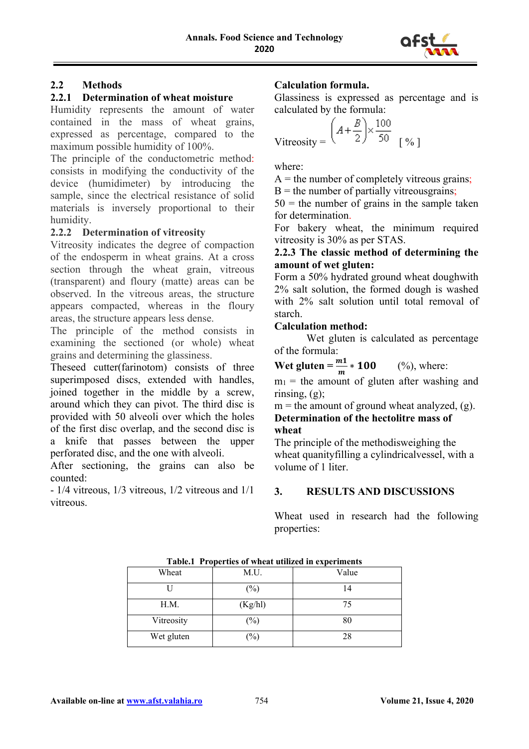

# **2.2 Methods**

### **2.2.1 Determination of wheat moisture**

Humidity represents the amount of water contained in the mass of wheat grains, expressed as percentage, compared to the maximum possible humidity of 100%.

The principle of the conductometric method: consists in modifying the conductivity of the device (humidimeter) by introducing the sample, since the electrical resistance of solid materials is inversely proportional to their humidity.

# **2.2.2 Determination of vitreosity**

Vitreosity indicates the degree of compaction of the endosperm in wheat grains. At a cross section through the wheat grain, vitreous (transparent) and floury (matte) areas can be observed. In the vitreous areas, the structure appears compacted, whereas in the floury areas, the structure appears less dense.

The principle of the method consists in examining the sectioned (or whole) wheat grains and determining the glassiness.

Theseed cutter(farinotom) consists of three superimposed discs, extended with handles, joined together in the middle by a screw, around which they can pivot. The third disc is provided with 50 alveoli over which the holes of the first disc overlap, and the second disc is a knife that passes between the upper perforated disc, and the one with alveoli.

After sectioning, the grains can also be counted:

- 1/4 vitreous, 1/3 vitreous, 1/2 vitreous and 1/1 vitreous.

# **Calculation formula.**

Glassiness is expressed as percentage and is calculated by the formula:

$$
\text{Vitreosity} = \left(A + \frac{B}{2}\right) \times \frac{100}{50} \quad \text{[%]}
$$

where:

 $A =$  the number of completely vitreous grains;

 $B =$  the number of partially vitreous grains;

 $50 =$  the number of grains in the sample taken for determination.

For bakery wheat, the minimum required vitreosity is 30% as per STAS.

### **2.2.3 The classic method of determining the amount of wet gluten:**

Form a 50% hydrated ground wheat doughwith 2% salt solution, the formed dough is washed with 2% salt solution until total removal of starch.

### **Calculation method:**

Wet gluten is calculated as percentage of the formula:

**Wet gluten** =  $\frac{m_1}{m}$  \* **100** (%), where:

 $m_1$  = the amount of gluten after washing and rinsing, (g);

 $m =$  the amount of ground wheat analyzed, (g). **Determination of the hectolitre mass of wheat**

The principle of the methodisweighing the wheat quanityfilling a cylindricalvessel, with a volume of 1 liter.

# **3. RESULTS AND DISCUSSIONS**

Wheat used in research had the following properties:

| <b>Table.</b> Froperues of wheat uthized in experiments |                            |       |  |  |
|---------------------------------------------------------|----------------------------|-------|--|--|
| Wheat                                                   | M.U.                       | Value |  |  |
|                                                         | $\left(\frac{0}{0}\right)$ | 14    |  |  |
| H.M.                                                    | (Kg/hl)                    | 75    |  |  |
| Vitreosity                                              | $\left(\frac{0}{0}\right)$ | 80    |  |  |
| Wet gluten                                              | $\frac{1}{2}$              | 28    |  |  |

**Table.1 Properties of wheat utilized in experiments**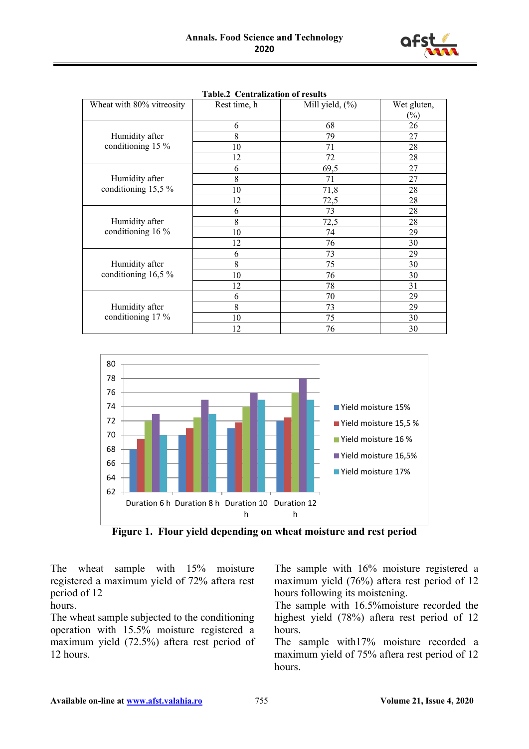

| Wheat with 80% vitreosity             | Rest time, h | Mill yield, (%) | Wet gluten,    |
|---------------------------------------|--------------|-----------------|----------------|
|                                       |              |                 | $\binom{0}{0}$ |
| Humidity after<br>conditioning 15 %   | 6            | 68              | 26             |
|                                       | 8            | 79              | 27             |
|                                       | 10           | 71              | 28             |
|                                       | 12           | 72              | 28             |
| Humidity after<br>conditioning 15,5 % | 6            | 69,5            | 27             |
|                                       | 8            | 71              | 27             |
|                                       | 10           | 71,8            | 28             |
|                                       | 12           | 72,5            | 28             |
| Humidity after<br>conditioning 16 %   | 6            | 73              | 28             |
|                                       | 8            | 72,5            | 28             |
|                                       | 10           | 74              | 29             |
|                                       | 12           | 76              | 30             |
| Humidity after<br>conditioning 16,5 % | 6            | 73              | 29             |
|                                       | 8            | 75              | 30             |
|                                       | 10           | 76              | 30             |
|                                       | 12           | 78              | 31             |
| Humidity after<br>conditioning 17 %   | 6            | 70              | 29             |
|                                       | 8            | 73              | 29             |
|                                       | 10           | 75              | 30             |
|                                       | 12           | 76              | 30             |

**Table.2 Centralization of results**



**Figure 1. Flour yield depending on wheat moisture and rest period**

The wheat sample with 15% moisture registered a maximum yield of 72% aftera rest period of 12

### hours.

The wheat sample subjected to the conditioning operation with 15.5% moisture registered a maximum yield (72.5%) aftera rest period of 12 hours.

The sample with 16% moisture registered a maximum yield (76%) aftera rest period of 12 hours following its moistening.

The sample with 16.5%moisture recorded the highest yield (78%) aftera rest period of 12 hours.

The sample with17% moisture recorded a maximum yield of 75% aftera rest period of 12 hours.